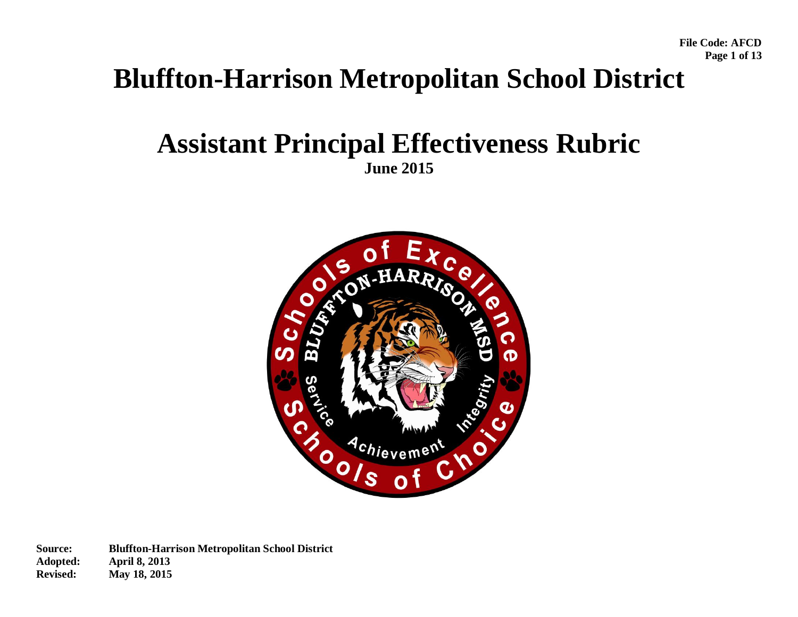**File Code: AFCD Page 1 of 13** 

# **Bluffton-Harrison Metropolitan School District**

## **Assistant Principal Effectiveness Rubric June 2015**

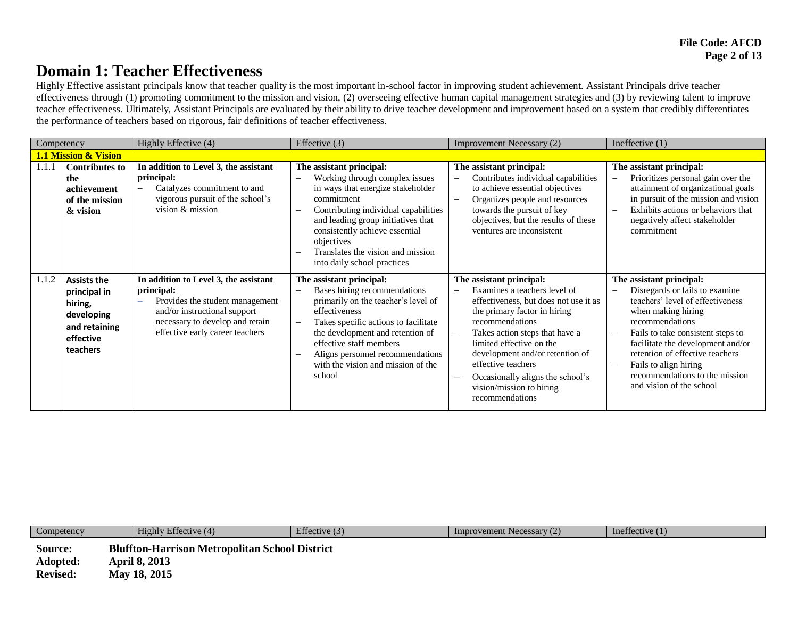### **Domain 1: Teacher Effectiveness**

Highly Effective assistant principals know that teacher quality is the most important in-school factor in improving student achievement. Assistant Principals drive teacher effectiveness through (1) promoting commitment to the mission and vision, (2) overseeing effective human capital management strategies and (3) by reviewing talent to improve teacher effectiveness. Ultimately, Assistant Principals are evaluated by their ability to drive teacher development and improvement based on a system that credibly differentiates the performance of teachers based on rigorous, fair definitions of teacher effectiveness.

| Competency |                                                                                                       | Highly Effective (4)                                                                                                                                                                         | Effective (3)                                                                                                                                                                                                                                                                                                                           | Improvement Necessary (2)                                                                                                                                                                                                                                                                                                                                      | Ineffective $(1)$                                                                                                                                                                                                                                                                                                                                                       |
|------------|-------------------------------------------------------------------------------------------------------|----------------------------------------------------------------------------------------------------------------------------------------------------------------------------------------------|-----------------------------------------------------------------------------------------------------------------------------------------------------------------------------------------------------------------------------------------------------------------------------------------------------------------------------------------|----------------------------------------------------------------------------------------------------------------------------------------------------------------------------------------------------------------------------------------------------------------------------------------------------------------------------------------------------------------|-------------------------------------------------------------------------------------------------------------------------------------------------------------------------------------------------------------------------------------------------------------------------------------------------------------------------------------------------------------------------|
|            | 1.1 Mission & Vision                                                                                  |                                                                                                                                                                                              |                                                                                                                                                                                                                                                                                                                                         |                                                                                                                                                                                                                                                                                                                                                                |                                                                                                                                                                                                                                                                                                                                                                         |
| 1.1.1      | <b>Contributes to</b><br>the<br>achievement<br>of the mission<br>& vision                             | In addition to Level 3, the assistant<br>principal:<br>Catalyzes commitment to and<br>vigorous pursuit of the school's<br>vision $&$ mission                                                 | The assistant principal:<br>Working through complex issues<br>in ways that energize stakeholder<br>commitment<br>Contributing individual capabilities<br>and leading group initiatives that<br>consistently achieve essential<br>objectives<br>Translates the vision and mission<br>into daily school practices                         | The assistant principal:<br>Contributes individual capabilities<br>to achieve essential objectives<br>Organizes people and resources<br>towards the pursuit of key<br>objectives, but the results of these<br>ventures are inconsistent                                                                                                                        | The assistant principal:<br>Prioritizes personal gain over the<br>$\overline{\phantom{0}}$<br>attainment of organizational goals<br>in pursuit of the mission and vision<br>Exhibits actions or behaviors that<br>$\overline{\phantom{a}}$<br>negatively affect stakeholder<br>commitment                                                                               |
| 1.1.2      | <b>Assists the</b><br>principal in<br>hiring,<br>developing<br>and retaining<br>effective<br>teachers | In addition to Level 3, the assistant<br>principal:<br>Provides the student management<br>and/or instructional support<br>necessary to develop and retain<br>effective early career teachers | The assistant principal:<br>Bases hiring recommendations<br>primarily on the teacher's level of<br>effectiveness<br>Takes specific actions to facilitate<br>$\overline{\phantom{m}}$<br>the development and retention of<br>effective staff members<br>Aligns personnel recommendations<br>with the vision and mission of the<br>school | The assistant principal:<br>Examines a teachers level of<br>effectiveness, but does not use it as<br>the primary factor in hiring<br>recommendations<br>Takes action steps that have a<br>limited effective on the<br>development and/or retention of<br>effective teachers<br>Occasionally aligns the school's<br>vision/mission to hiring<br>recommendations | The assistant principal:<br>Disregards or fails to examine<br>teachers' level of effectiveness<br>when making hiring<br>recommendations<br>Fails to take consistent steps to<br>$\overline{\phantom{a}}$<br>facilitate the development and/or<br>retention of effective teachers<br>Fails to align hiring<br>recommendations to the mission<br>and vision of the school |

| Competency                             | Highly Effective (4)                                                                          | Effective $(3)$ | Improvement Necessary (2) | Ineffective $(1)$ |
|----------------------------------------|-----------------------------------------------------------------------------------------------|-----------------|---------------------------|-------------------|
| Source:<br>Adopted:<br><b>Revised:</b> | <b>Bluffton-Harrison Metropolitan School District</b><br><b>April 8, 2013</b><br>May 18, 2015 |                 |                           |                   |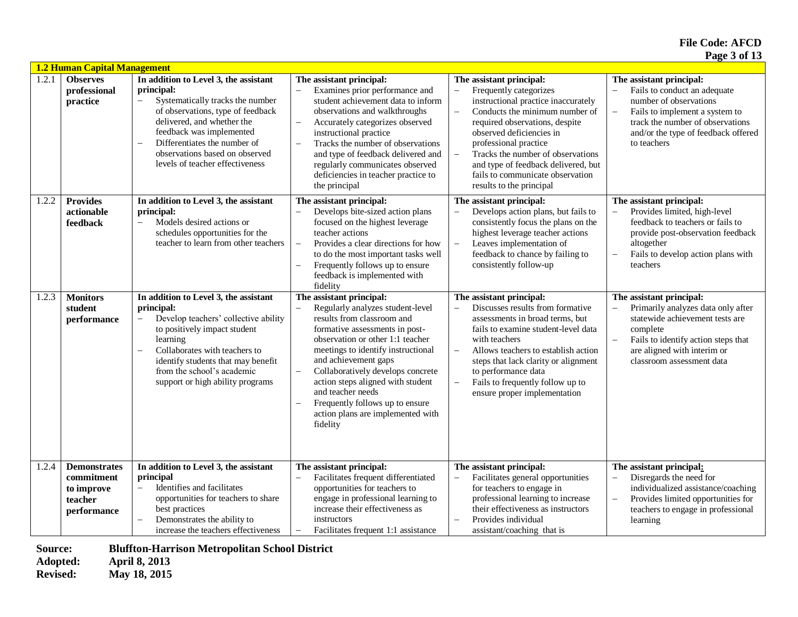|       | <b>1.2 Human Capital Management</b>                                       |                                                                                                                                                                                                                                                                                                         |                                                                                                                                                                                                                                                                                                                                                                                                                                               |                                                                                                                                                                                                                                                                                                                                                                                              |                                                                                                                                                                                                                  |  |  |
|-------|---------------------------------------------------------------------------|---------------------------------------------------------------------------------------------------------------------------------------------------------------------------------------------------------------------------------------------------------------------------------------------------------|-----------------------------------------------------------------------------------------------------------------------------------------------------------------------------------------------------------------------------------------------------------------------------------------------------------------------------------------------------------------------------------------------------------------------------------------------|----------------------------------------------------------------------------------------------------------------------------------------------------------------------------------------------------------------------------------------------------------------------------------------------------------------------------------------------------------------------------------------------|------------------------------------------------------------------------------------------------------------------------------------------------------------------------------------------------------------------|--|--|
| 1.2.1 | <b>Observes</b><br>professional<br>practice                               | In addition to Level 3, the assistant<br>principal:<br>Systematically tracks the number<br>of observations, type of feedback<br>delivered, and whether the<br>feedback was implemented<br>Differentiates the number of<br>$\equiv$<br>observations based on observed<br>levels of teacher effectiveness | The assistant principal:<br>Examines prior performance and<br>student achievement data to inform<br>observations and walkthroughs<br>Accurately categorizes observed<br>$\overline{\phantom{0}}$<br>instructional practice<br>Tracks the number of observations<br>$\equiv$<br>and type of feedback delivered and<br>regularly communicates observed<br>deficiencies in teacher practice to<br>the principal                                  | The assistant principal:<br>Frequently categorizes<br>$\overline{a}$<br>instructional practice inaccurately<br>Conducts the minimum number of<br>$\equiv$<br>required observations, despite<br>observed deficiencies in<br>professional practice<br>Tracks the number of observations<br>and type of feedback delivered, but<br>fails to communicate observation<br>results to the principal | The assistant principal:<br>Fails to conduct an adequate<br>number of observations<br>Fails to implement a system to<br>track the number of observations<br>and/or the type of feedback offered<br>to teachers   |  |  |
| 1.2.2 | <b>Provides</b><br>actionable<br>feedback                                 | In addition to Level 3, the assistant<br>principal:<br>Models desired actions or<br>$\overline{\phantom{0}}$<br>schedules opportunities for the<br>teacher to learn from other teachers                                                                                                                 | The assistant principal:<br>Develops bite-sized action plans<br>focused on the highest leverage<br>teacher actions<br>Provides a clear directions for how<br>$\overline{\phantom{0}}$<br>to do the most important tasks well<br>Frequently follows up to ensure<br>$\overline{\phantom{m}}$<br>feedback is implemented with<br>fidelity                                                                                                       | The assistant principal:<br>Develops action plans, but fails to<br>consistently focus the plans on the<br>highest leverage teacher actions<br>Leaves implementation of<br>$\overline{\phantom{0}}$<br>feedback to chance by failing to<br>consistently follow-up                                                                                                                             | The assistant principal:<br>Provides limited, high-level<br>feedback to teachers or fails to<br>provide post-observation feedback<br>altogether<br>Fails to develop action plans with<br>teachers                |  |  |
| 1.2.3 | <b>Monitors</b><br>student<br>performance                                 | In addition to Level 3, the assistant<br>principal:<br>Develop teachers' collective ability<br>to positively impact student<br>learning<br>Collaborates with teachers to<br>L.<br>identify students that may benefit<br>from the school's academic<br>support or high ability programs                  | The assistant principal:<br>Regularly analyzes student-level<br>results from classroom and<br>formative assessments in post-<br>observation or other 1:1 teacher<br>meetings to identify instructional<br>and achievement gaps<br>Collaboratively develops concrete<br>$\overline{\phantom{0}}$<br>action steps aligned with student<br>and teacher needs<br>Frequently follows up to ensure<br>action plans are implemented with<br>fidelity | The assistant principal:<br>Discusses results from formative<br>assessments in broad terms, but<br>fails to examine student-level data<br>with teachers<br>$\overline{a}$<br>Allows teachers to establish action<br>steps that lack clarity or alignment<br>to performance data<br>Fails to frequently follow up to<br>ensure proper implementation                                          | The assistant principal:<br>Primarily analyzes data only after<br>statewide achievement tests are<br>complete<br>Fails to identify action steps that<br>are aligned with interim or<br>classroom assessment data |  |  |
| 1.2.4 | <b>Demonstrates</b><br>commitment<br>to improve<br>teacher<br>performance | In addition to Level 3, the assistant<br>principal<br>Identifies and facilitates<br>opportunities for teachers to share<br>best practices<br>Demonstrates the ability to<br>$\overline{\phantom{0}}$<br>increase the teachers effectiveness                                                             | The assistant principal:<br>Facilitates frequent differentiated<br>$\equiv$<br>opportunities for teachers to<br>engage in professional learning to<br>increase their effectiveness as<br>instructors<br>Facilitates frequent 1:1 assistance                                                                                                                                                                                                   | The assistant principal:<br>Facilitates general opportunities<br>for teachers to engage in<br>professional learning to increase<br>their effectiveness as instructors<br>Provides individual<br>assistant/coaching that is                                                                                                                                                                   | The assistant principal:<br>Disregards the need for<br>$\equiv$<br>individualized assistance/coaching<br>Provides limited opportunities for<br>teachers to engage in professional<br>learning                    |  |  |

**Source: Bluffton-Harrison Metropolitan School District** 

**Adopted: April 8, 2013** 

**Revised: May 18, 2015**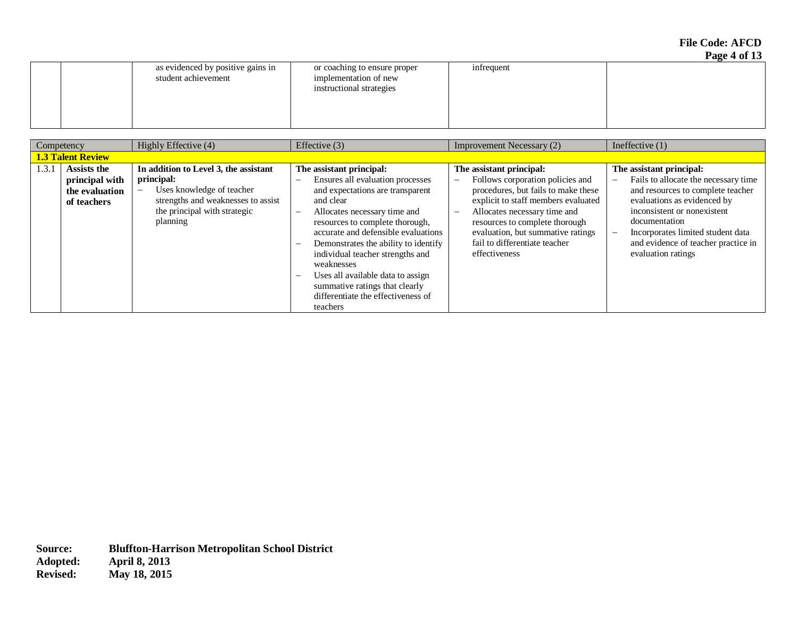**File Code: AFCD Page 4 of 13** 

|                                                          |                                                                                   |            | $100 - 101 - 10$ |
|----------------------------------------------------------|-----------------------------------------------------------------------------------|------------|------------------|
| as evidenced by positive gains in<br>student achievement | or coaching to ensure proper<br>implementation of new<br>instructional strategies | infrequent |                  |
|                                                          |                                                                                   |            |                  |

|       | Competency                                                            | Highly Effective (4)                                                                                                                                               | Effective $(3)$                                                                                                                                                                                                                                                                                                   | Improvement Necessary (2)                                                                                                                                                                                                                                                                                                                            | Ineffective $(1)$                                                                                                                                                                                                                                                                                                  |
|-------|-----------------------------------------------------------------------|--------------------------------------------------------------------------------------------------------------------------------------------------------------------|-------------------------------------------------------------------------------------------------------------------------------------------------------------------------------------------------------------------------------------------------------------------------------------------------------------------|------------------------------------------------------------------------------------------------------------------------------------------------------------------------------------------------------------------------------------------------------------------------------------------------------------------------------------------------------|--------------------------------------------------------------------------------------------------------------------------------------------------------------------------------------------------------------------------------------------------------------------------------------------------------------------|
|       | <b>1.3 Talent Review</b>                                              |                                                                                                                                                                    |                                                                                                                                                                                                                                                                                                                   |                                                                                                                                                                                                                                                                                                                                                      |                                                                                                                                                                                                                                                                                                                    |
| 1.3.1 | <b>Assists the</b><br>principal with<br>the evaluation<br>of teachers | In addition to Level 3, the assistant<br>principal:<br>Uses knowledge of teacher<br>strengths and weaknesses to assist<br>the principal with strategic<br>planning | The assistant principal:<br>Ensures all evaluation processes<br>and expectations are transparent<br>and clear<br>Allocates necessary time and<br>resources to complete thorough,<br>accurate and defensible evaluations<br>Demonstrates the ability to identify<br>individual teacher strengths and<br>weaknesses | The assistant principal:<br>Follows corporation policies and<br>$\overline{\phantom{0}}$<br>procedures, but fails to make these<br>explicit to staff members evaluated<br>Allocates necessary time and<br>$\qquad \qquad -$<br>resources to complete thorough<br>evaluation, but summative ratings<br>fail to differentiate teacher<br>effectiveness | The assistant principal:<br>Fails to allocate the necessary time<br>$\overline{\phantom{m}}$<br>and resources to complete teacher<br>evaluations as evidenced by<br>inconsistent or nonexistent<br>documentation<br>Incorporates limited student data<br>and evidence of teacher practice in<br>evaluation ratings |
|       |                                                                       |                                                                                                                                                                    | Uses all available data to assign<br>summative ratings that clearly<br>differentiate the effectiveness of<br>teachers                                                                                                                                                                                             |                                                                                                                                                                                                                                                                                                                                                      |                                                                                                                                                                                                                                                                                                                    |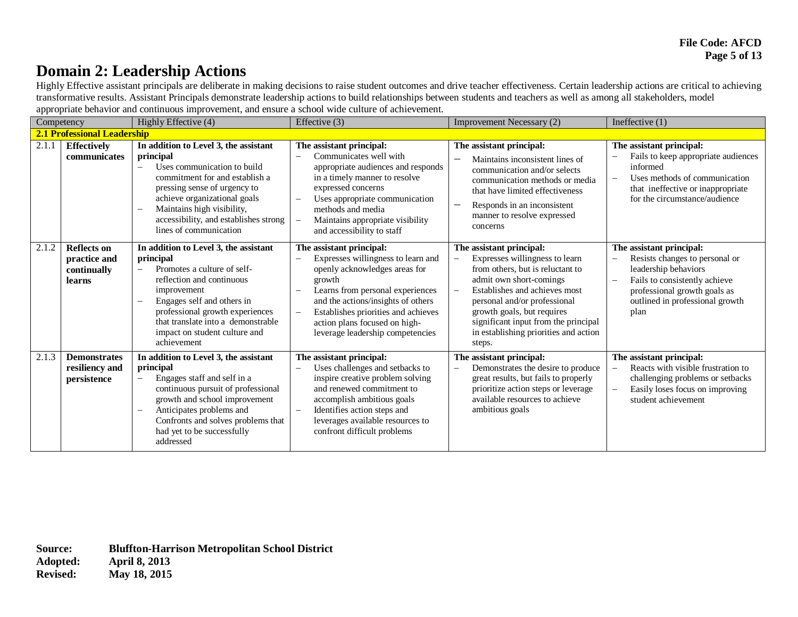## **Domain 2: Leadership Actions**

Highly Effective assistant principals are deliberate in making decisions to raise student outcomes and drive teacher effectiveness. Certain leadership actions are critical to achieving transformative results. Assistant Principals demonstrate leadership actions to build relationships between students and teachers as well as among all stakeholders, model appropriate behavior and continuous improvement, and ensure a school wide culture of achievement.

| $\mathbf{r}$<br>$\mathbf{r}$<br>Competency |                                                             | Highly Effective (4)                                                                                                                                                                                                                                                                 | Effective (3)                                                                                                                                                                                                                                                                                                               | Improvement Necessary (2)                                                                                                                                                                                                                                                                                                                                            | Ineffective $(1)$                                                                                                                                                                                              |
|--------------------------------------------|-------------------------------------------------------------|--------------------------------------------------------------------------------------------------------------------------------------------------------------------------------------------------------------------------------------------------------------------------------------|-----------------------------------------------------------------------------------------------------------------------------------------------------------------------------------------------------------------------------------------------------------------------------------------------------------------------------|----------------------------------------------------------------------------------------------------------------------------------------------------------------------------------------------------------------------------------------------------------------------------------------------------------------------------------------------------------------------|----------------------------------------------------------------------------------------------------------------------------------------------------------------------------------------------------------------|
| <b>2.1 Professional Leadership</b>         |                                                             |                                                                                                                                                                                                                                                                                      |                                                                                                                                                                                                                                                                                                                             |                                                                                                                                                                                                                                                                                                                                                                      |                                                                                                                                                                                                                |
| 2.1.1                                      | <b>Effectively</b><br>communicates                          | In addition to Level 3, the assistant<br>principal<br>Uses communication to build<br>commitment for and establish a<br>pressing sense of urgency to<br>achieve organizational goals<br>Maintains high visibility,<br>accessibility, and establishes strong<br>lines of communication | The assistant principal:<br>Communicates well with<br>appropriate audiences and responds<br>in a timely manner to resolve<br>expressed concerns<br>Uses appropriate communication<br>methods and media<br>Maintains appropriate visibility<br>$\overline{\phantom{m}}$<br>and accessibility to staff                        | The assistant principal:<br>Maintains inconsistent lines of<br>communication and/or selects<br>communication methods or media<br>that have limited effectiveness<br>Responds in an inconsistent<br>manner to resolve expressed<br>concerns                                                                                                                           | The assistant principal:<br>Fails to keep appropriate audiences<br>informed<br>Uses methods of communication<br>$\overline{\phantom{0}}$<br>that ineffective or inappropriate<br>for the circumstance/audience |
| 2.1.2                                      | <b>Reflects on</b><br>practice and<br>continually<br>learns | In addition to Level 3, the assistant<br>principal<br>Promotes a culture of self-<br>reflection and continuous<br>improvement<br>Engages self and others in<br>professional growth experiences<br>that translate into a demonstrable<br>impact on student culture and<br>achievement | The assistant principal:<br>Expresses willingness to learn and<br>openly acknowledges areas for<br>growth<br>Learns from personal experiences<br>and the actions/insights of others<br>Establishes priorities and achieves<br>$\overline{\phantom{m}}$<br>action plans focused on high-<br>leverage leadership competencies | The assistant principal:<br>Expresses willingness to learn<br>$\overline{\phantom{0}}$<br>from others, but is reluctant to<br>admit own short-comings<br>Establishes and achieves most<br>$\qquad \qquad -$<br>personal and/or professional<br>growth goals, but requires<br>significant input from the principal<br>in establishing priorities and action<br>steps. | The assistant principal:<br>Resists changes to personal or<br>leadership behaviors<br>Fails to consistently achieve<br>professional growth goals as<br>outlined in professional growth<br>plan                 |
| 2.1.3                                      | <b>Demonstrates</b><br>resiliency and<br>persistence        | In addition to Level 3, the assistant<br>principal<br>Engages staff and self in a<br>continuous pursuit of professional<br>growth and school improvement<br>Anticipates problems and<br>Confronts and solves problems that<br>had yet to be successfully<br>addressed                | The assistant principal:<br>Uses challenges and setbacks to<br>inspire creative problem solving<br>and renewed commitment to<br>accomplish ambitious goals<br>Identifies action steps and<br>$\qquad \qquad -$<br>leverages available resources to<br>confront difficult problems                                           | The assistant principal:<br>Demonstrates the desire to produce<br>great results, but fails to properly<br>prioritize action steps or leverage<br>available resources to achieve<br>ambitious goals                                                                                                                                                                   | The assistant principal:<br>Reacts with visible frustration to<br>challenging problems or setbacks<br>Easily loses focus on improving<br>student achievement                                                   |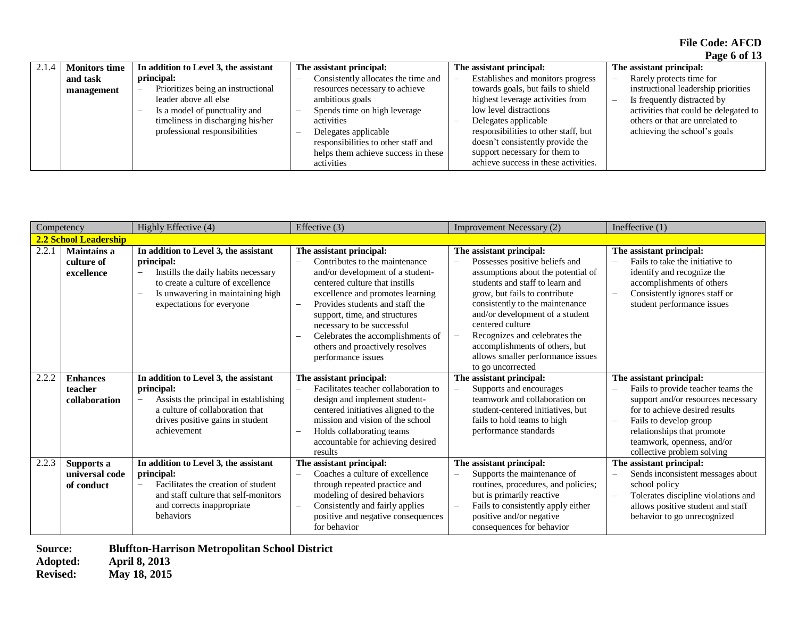**File Code: AFCD Page 6 of 13** 

|       |                      |                                                                |                                     |                                      | - - - - - - - -                       |
|-------|----------------------|----------------------------------------------------------------|-------------------------------------|--------------------------------------|---------------------------------------|
| 2.1.4 | <b>Monitors time</b> | In addition to Level 3, the assistant                          | The assistant principal:            | The assistant principal:             | The assistant principal:              |
|       | and task             | principal:                                                     | Consistently allocates the time and | Establishes and monitors progress    | Rarely protects time for<br>-         |
|       | management           | Prioritizes being an instructional<br>$\overline{\phantom{0}}$ | resources necessary to achieve      | towards goals, but fails to shield   | instructional leadership priorities   |
|       |                      | leader above all else                                          | ambitious goals                     | highest leverage activities from     | Is frequently distracted by<br>-      |
|       |                      | Is a model of punctuality and                                  | Spends time on high leverage        | low level distractions               | activities that could be delegated to |
|       |                      | timeliness in discharging his/her                              | activities                          | Delegates applicable                 | others or that are unrelated to       |
|       |                      | professional responsibilities                                  | Delegates applicable                | responsibilities to other staff, but | achieving the school's goals          |
|       |                      |                                                                | responsibilities to other staff and | doesn't consistently provide the     |                                       |
|       |                      |                                                                | helps them achieve success in these | support necessary for them to        |                                       |
|       |                      |                                                                | activities                          | achieve success in these activities. |                                       |

|       | Competency                                     | Highly Effective (4)                                                                                                                                                                                                          | Effective (3)                                                                                                                                                                                                                                                                                                                                                        | <b>Improvement Necessary (2)</b>                                                                                                                                                                                                                                                                                                                                                            | Ineffective $(1)$                                                                                                                                                                                                                                                                                                  |
|-------|------------------------------------------------|-------------------------------------------------------------------------------------------------------------------------------------------------------------------------------------------------------------------------------|----------------------------------------------------------------------------------------------------------------------------------------------------------------------------------------------------------------------------------------------------------------------------------------------------------------------------------------------------------------------|---------------------------------------------------------------------------------------------------------------------------------------------------------------------------------------------------------------------------------------------------------------------------------------------------------------------------------------------------------------------------------------------|--------------------------------------------------------------------------------------------------------------------------------------------------------------------------------------------------------------------------------------------------------------------------------------------------------------------|
|       | 2.2 School Leadership                          |                                                                                                                                                                                                                               |                                                                                                                                                                                                                                                                                                                                                                      |                                                                                                                                                                                                                                                                                                                                                                                             |                                                                                                                                                                                                                                                                                                                    |
| 2.2.1 | <b>Maintains a</b><br>culture of<br>excellence | In addition to Level 3, the assistant<br>principal:<br>Instills the daily habits necessary<br>$\overline{\phantom{0}}$<br>to create a culture of excellence<br>Is unwavering in maintaining high<br>expectations for everyone | The assistant principal:<br>Contributes to the maintenance<br>and/or development of a student-<br>centered culture that instills<br>excellence and promotes learning<br>Provides students and staff the<br>support, time, and structures<br>necessary to be successful<br>Celebrates the accomplishments of<br>others and proactively resolves<br>performance issues | The assistant principal:<br>Possesses positive beliefs and<br>assumptions about the potential of<br>students and staff to learn and<br>grow, but fails to contribute<br>consistently to the maintenance<br>and/or development of a student<br>centered culture<br>Recognizes and celebrates the<br>accomplishments of others, but<br>allows smaller performance issues<br>to go uncorrected | The assistant principal:<br>Fails to take the initiative to<br>identify and recognize the<br>accomplishments of others<br>Consistently ignores staff or<br>$\equiv$<br>student performance issues                                                                                                                  |
| 2.2.2 | <b>Enhances</b><br>teacher<br>collaboration    | In addition to Level 3, the assistant<br>principal:<br>Assists the principal in establishing<br>a culture of collaboration that<br>drives positive gains in student<br>achievement                                            | The assistant principal:<br>Facilitates teacher collaboration to<br>$\overline{\phantom{m}}$<br>design and implement student-<br>centered initiatives aligned to the<br>mission and vision of the school<br>Holds collaborating teams<br>accountable for achieving desired<br>results                                                                                | The assistant principal:<br>Supports and encourages<br>$\overline{\phantom{0}}$<br>teamwork and collaboration on<br>student-centered initiatives, but<br>fails to hold teams to high<br>performance standards                                                                                                                                                                               | The assistant principal:<br>Fails to provide teacher teams the<br>$\overline{\phantom{0}}$<br>support and/or resources necessary<br>for to achieve desired results<br>Fails to develop group<br>$\overline{\phantom{0}}$<br>relationships that promote<br>teamwork, openness, and/or<br>collective problem solving |
| 2.2.3 | Supports a<br>universal code<br>of conduct     | In addition to Level 3, the assistant<br>principal:<br>Facilitates the creation of student<br>and staff culture that self-monitors<br>and corrects inappropriate<br>behaviors                                                 | The assistant principal:<br>Coaches a culture of excellence<br>through repeated practice and<br>modeling of desired behaviors<br>Consistently and fairly applies<br>positive and negative consequences<br>for behavior                                                                                                                                               | The assistant principal:<br>Supports the maintenance of<br>routines, procedures, and policies;<br>but is primarily reactive<br>Fails to consistently apply either<br>positive and/or negative<br>consequences for behavior                                                                                                                                                                  | The assistant principal:<br>Sends inconsistent messages about<br>school policy<br>Tolerates discipline violations and<br>$\overline{\phantom{0}}$<br>allows positive student and staff<br>behavior to go unrecognized                                                                                              |

**Source: Bluffton-Harrison Metropolitan School District** 

**Adopted: April 8, 2013 Revised: May 18, 2015**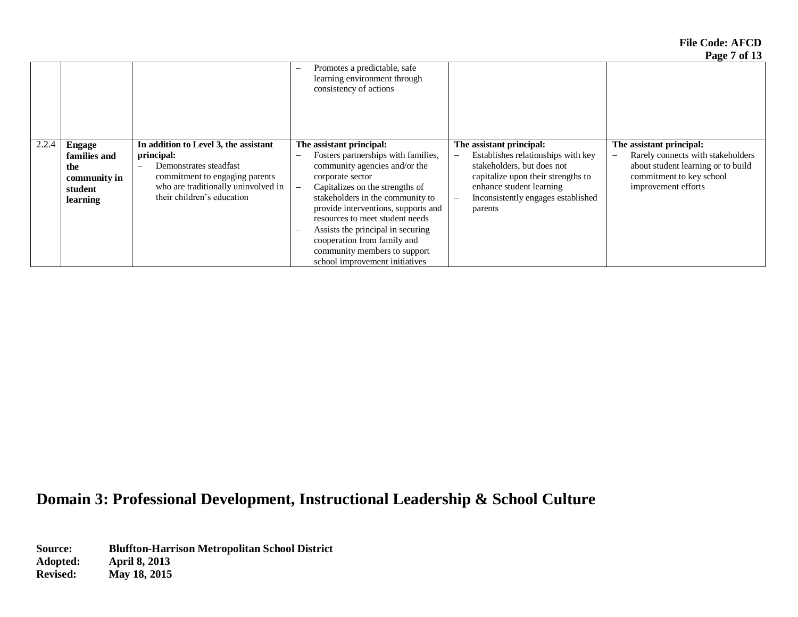**File Code: AFCD Page 7 of 13** 

|       |              |                                       |                                                                                                                    |                                                                | $1$ agu / vi 19                                               |
|-------|--------------|---------------------------------------|--------------------------------------------------------------------------------------------------------------------|----------------------------------------------------------------|---------------------------------------------------------------|
|       |              |                                       | Promotes a predictable, safe<br>$\overline{\phantom{0}}$<br>learning environment through<br>consistency of actions |                                                                |                                                               |
| 2.2.4 | Engage       | In addition to Level 3, the assistant | The assistant principal:                                                                                           | The assistant principal:                                       | The assistant principal:                                      |
|       | families and | principal:                            | Fosters partnerships with families,<br>$\overline{\phantom{0}}$                                                    | Establishes relationships with key<br>$\overline{\phantom{m}}$ | Rarely connects with stakeholders<br>$\overline{\phantom{m}}$ |
|       | the          | Demonstrates steadfast                | community agencies and/or the                                                                                      | stakeholders, but does not                                     | about student learning or to build                            |
|       | community in | commitment to engaging parents        | corporate sector                                                                                                   | capitalize upon their strengths to                             | commitment to key school                                      |
|       | student      | who are traditionally uninvolved in   | Capitalizes on the strengths of                                                                                    | enhance student learning                                       | improvement efforts                                           |
|       | learning     | their children's education            | stakeholders in the community to                                                                                   | Inconsistently engages established<br>$\overline{\phantom{0}}$ |                                                               |
|       |              |                                       | provide interventions, supports and                                                                                | parents                                                        |                                                               |
|       |              |                                       | resources to meet student needs                                                                                    |                                                                |                                                               |
|       |              |                                       | Assists the principal in securing<br>$\overline{\phantom{m}}$                                                      |                                                                |                                                               |
|       |              |                                       | cooperation from family and                                                                                        |                                                                |                                                               |
|       |              |                                       | community members to support                                                                                       |                                                                |                                                               |
|       |              |                                       | school improvement initiatives                                                                                     |                                                                |                                                               |

## **Domain 3: Professional Development, Instructional Leadership & School Culture**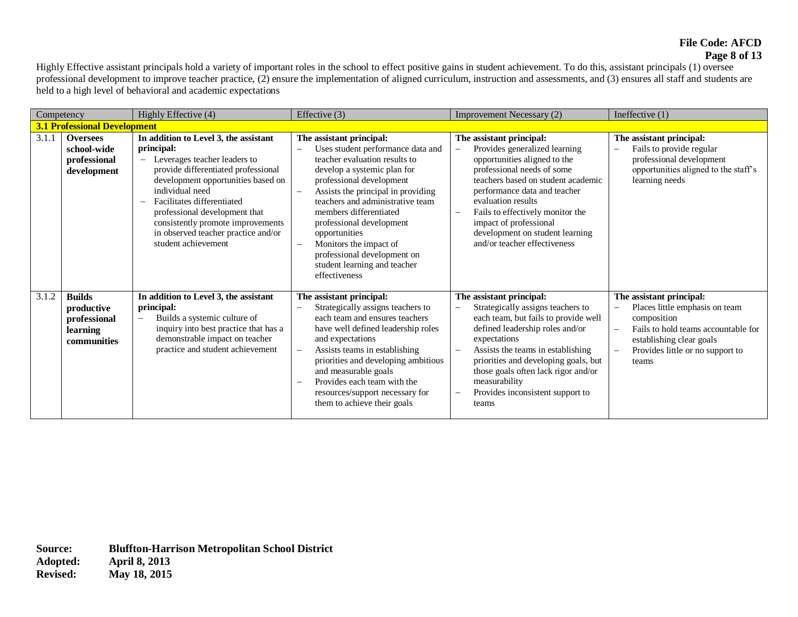#### **File Code: AFCD Page 8 of 13**

Highly Effective assistant principals hold a variety of important roles in the school to effect positive gains in student achievement. To do this, assistant principals (1) oversee professional development to improve teacher practice, (2) ensure the implementation of aligned curriculum, instruction and assessments, and (3) ensures all staff and students are held to a high level of behavioral and academic expectations

| Competency |                                                                        | Highly Effective (4)                                                                                                                                                                                                                                                                                                                                                                                          | Effective (3)                                                                                                                                                                                                                                                                                                                                                                                                        | <b>Improvement Necessary (2)</b>                                                                                                                                                                                                                                                                                                                                       | Ineffective $(1)$                                                                                                                                                                                                    |
|------------|------------------------------------------------------------------------|---------------------------------------------------------------------------------------------------------------------------------------------------------------------------------------------------------------------------------------------------------------------------------------------------------------------------------------------------------------------------------------------------------------|----------------------------------------------------------------------------------------------------------------------------------------------------------------------------------------------------------------------------------------------------------------------------------------------------------------------------------------------------------------------------------------------------------------------|------------------------------------------------------------------------------------------------------------------------------------------------------------------------------------------------------------------------------------------------------------------------------------------------------------------------------------------------------------------------|----------------------------------------------------------------------------------------------------------------------------------------------------------------------------------------------------------------------|
|            | <b>3.1 Professional Development</b>                                    |                                                                                                                                                                                                                                                                                                                                                                                                               |                                                                                                                                                                                                                                                                                                                                                                                                                      |                                                                                                                                                                                                                                                                                                                                                                        |                                                                                                                                                                                                                      |
| 3.1.1      | <b>Oversees</b><br>school-wide<br>professional<br>development          | In addition to Level 3, the assistant<br>principal:<br>Leverages teacher leaders to<br>$\overline{\phantom{m}}$<br>provide differentiated professional<br>development opportunities based on<br>individual need<br>Facilitates differentiated<br>$\overline{\phantom{0}}$<br>professional development that<br>consistently promote improvements<br>in observed teacher practice and/or<br>student achievement | The assistant principal:<br>Uses student performance data and<br>teacher evaluation results to<br>develop a systemic plan for<br>professional development<br>Assists the principal in providing<br>teachers and administrative team<br>members differentiated<br>professional development<br>opportunities<br>Monitors the impact of<br>professional development on<br>student learning and teacher<br>effectiveness | The assistant principal:<br>Provides generalized learning<br>opportunities aligned to the<br>professional needs of some<br>teachers based on student academic<br>performance data and teacher<br>evaluation results<br>Fails to effectively monitor the<br>impact of professional<br>development on student learning<br>and/or teacher effectiveness                   | The assistant principal:<br>Fails to provide regular<br>L,<br>professional development<br>opportunities aligned to the staff's<br>learning needs                                                                     |
| 3.1.2      | <b>Builds</b><br>productive<br>professional<br>learning<br>communities | In addition to Level 3, the assistant<br>principal:<br>Builds a systemic culture of<br>$\overline{\phantom{m}}$<br>inquiry into best practice that has a<br>demonstrable impact on teacher<br>practice and student achievement                                                                                                                                                                                | The assistant principal:<br>Strategically assigns teachers to<br>each team and ensures teachers<br>have well defined leadership roles<br>and expectations<br>Assists teams in establishing<br>$\qquad \qquad -$<br>priorities and developing ambitious<br>and measurable goals<br>Provides each team with the<br>resources/support necessary for<br>them to achieve their goals                                      | The assistant principal:<br>Strategically assigns teachers to<br>each team, but fails to provide well<br>defined leadership roles and/or<br>expectations<br>Assists the teams in establishing<br>priorities and developing goals, but<br>those goals often lack rigor and/or<br>measurability<br>Provides inconsistent support to<br>$\overline{\phantom{m}}$<br>teams | The assistant principal:<br>Places little emphasis on team<br>composition<br>Fails to hold teams accountable for<br>L,<br>establishing clear goals<br>Provides little or no support to<br>$\qquad \qquad -$<br>teams |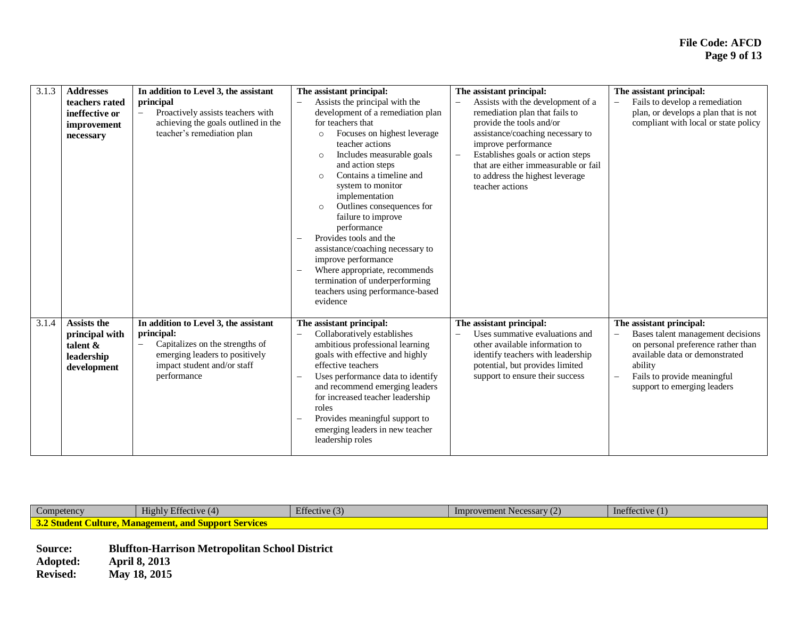| 3.1.3 | <b>Addresses</b><br>teachers rated<br>ineffective or<br>improvement<br>necessary | In addition to Level 3, the assistant<br>principal<br>Proactively assists teachers with<br>achieving the goals outlined in the<br>teacher's remediation plan           | The assistant principal:<br>Assists the principal with the<br>$\overline{\phantom{0}}$<br>development of a remediation plan<br>for teachers that<br>Focuses on highest leverage<br>$\circ$<br>teacher actions<br>Includes measurable goals<br>$\circ$<br>and action steps<br>Contains a timeline and<br>$\circ$<br>system to monitor<br>implementation<br>Outlines consequences for<br>$\circ$<br>failure to improve<br>performance<br>Provides tools and the<br>$\overline{\phantom{0}}$<br>assistance/coaching necessary to<br>improve performance | The assistant principal:<br>Assists with the development of a<br>remediation plan that fails to<br>provide the tools and/or<br>assistance/coaching necessary to<br>improve performance<br>Establishes goals or action steps<br>that are either immeasurable or fail<br>to address the highest leverage<br>teacher actions | The assistant principal:<br>Fails to develop a remediation<br>plan, or develops a plan that is not<br>compliant with local or state policy                                                                                                 |
|-------|----------------------------------------------------------------------------------|------------------------------------------------------------------------------------------------------------------------------------------------------------------------|------------------------------------------------------------------------------------------------------------------------------------------------------------------------------------------------------------------------------------------------------------------------------------------------------------------------------------------------------------------------------------------------------------------------------------------------------------------------------------------------------------------------------------------------------|---------------------------------------------------------------------------------------------------------------------------------------------------------------------------------------------------------------------------------------------------------------------------------------------------------------------------|--------------------------------------------------------------------------------------------------------------------------------------------------------------------------------------------------------------------------------------------|
| 3.1.4 | <b>Assists the</b><br>principal with<br>talent $\&$<br>leadership<br>development | In addition to Level 3, the assistant<br>principal:<br>Capitalizes on the strengths of<br>emerging leaders to positively<br>impact student and/or staff<br>performance | Where appropriate, recommends<br>termination of underperforming<br>teachers using performance-based<br>evidence<br>The assistant principal:<br>Collaboratively establishes<br>ambitious professional learning<br>goals with effective and highly<br>effective teachers<br>Uses performance data to identify<br>and recommend emerging leaders<br>for increased teacher leadership<br>roles<br>Provides meaningful support to<br>emerging leaders in new teacher<br>leadership roles                                                                  | The assistant principal:<br>Uses summative evaluations and<br>other available information to<br>identify teachers with leadership<br>potential, but provides limited<br>support to ensure their success                                                                                                                   | The assistant principal:<br>Bases talent management decisions<br>on personal preference rather than<br>available data or demonstrated<br>ability<br>Fails to provide meaningful<br>$\overline{\phantom{0}}$<br>support to emerging leaders |

| $\sim$<br>$\mathcal{L}$ ompetency                                                             | $\mathbf{r}$ $\alpha$<br>$T$ $T$ <sup>+</sup><br>Highly Effective (4) | (2)<br>$\mathbf{r}$ contracts.<br>Effective (3) | Improvement Necessary $(2)$ | 41 <sup>2</sup><br>$\overline{c}$<br>Inettective (1) |  |  |  |
|-----------------------------------------------------------------------------------------------|-----------------------------------------------------------------------|-------------------------------------------------|-----------------------------|------------------------------------------------------|--|--|--|
| $\sim$<br>Culture.<br>ement, and Suppo<br><b>Wana</b><br><b>Services</b><br><u> Audent Ch</u> |                                                                       |                                                 |                             |                                                      |  |  |  |
|                                                                                               |                                                                       |                                                 |                             |                                                      |  |  |  |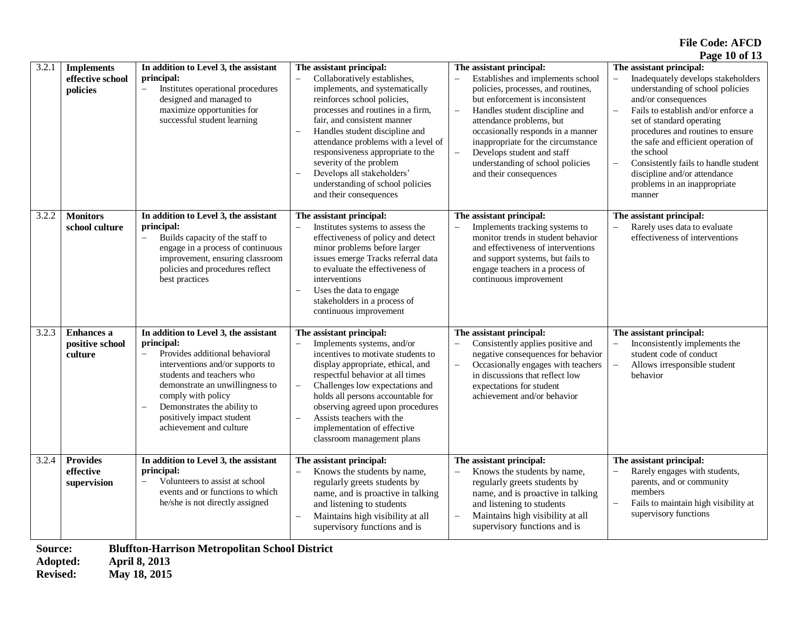**File Code: AFCD Page 10 of 13** 

|                                                                                               |                                                   |                                                                                                                                                                                                                                                                                                                                    |                                                                                                                                                                                                                                                                                                                                                                                                                                                                |                                                                                                                                                                                                                                                                                                                                                                             | $1 \, \text{ag}$ c 10 01 10                                                                                                                                                                                                                                                                                                                                                                                     |  |
|-----------------------------------------------------------------------------------------------|---------------------------------------------------|------------------------------------------------------------------------------------------------------------------------------------------------------------------------------------------------------------------------------------------------------------------------------------------------------------------------------------|----------------------------------------------------------------------------------------------------------------------------------------------------------------------------------------------------------------------------------------------------------------------------------------------------------------------------------------------------------------------------------------------------------------------------------------------------------------|-----------------------------------------------------------------------------------------------------------------------------------------------------------------------------------------------------------------------------------------------------------------------------------------------------------------------------------------------------------------------------|-----------------------------------------------------------------------------------------------------------------------------------------------------------------------------------------------------------------------------------------------------------------------------------------------------------------------------------------------------------------------------------------------------------------|--|
| 3.2.1                                                                                         | <b>Implements</b><br>effective school<br>policies | In addition to Level 3, the assistant<br>principal:<br>Institutes operational procedures<br>$\equiv$<br>designed and managed to<br>maximize opportunities for<br>successful student learning                                                                                                                                       | The assistant principal:<br>Collaboratively establishes,<br>implements, and systematically<br>reinforces school policies,<br>processes and routines in a firm,<br>fair, and consistent manner<br>Handles student discipline and<br>$\overline{\phantom{0}}$<br>attendance problems with a level of<br>responsiveness appropriate to the<br>severity of the problem<br>Develops all stakeholders'<br>understanding of school policies<br>and their consequences | The assistant principal:<br>Establishes and implements school<br>policies, processes, and routines,<br>but enforcement is inconsistent<br>Handles student discipline and<br>attendance problems, but<br>occasionally responds in a manner<br>inappropriate for the circumstance<br>Develops student and staff<br>understanding of school policies<br>and their consequences | The assistant principal:<br>Inadequately develops stakeholders<br>understanding of school policies<br>and/or consequences<br>Fails to establish and/or enforce a<br>set of standard operating<br>procedures and routines to ensure<br>the safe and efficient operation of<br>the school<br>Consistently fails to handle student<br>L.<br>discipline and/or attendance<br>problems in an inappropriate<br>manner |  |
| 3.2.2                                                                                         | <b>Monitors</b><br>school culture                 | In addition to Level 3, the assistant<br>principal:<br>Builds capacity of the staff to<br>$\overline{\phantom{0}}$<br>engage in a process of continuous<br>improvement, ensuring classroom<br>policies and procedures reflect<br>best practices                                                                                    | The assistant principal:<br>Institutes systems to assess the<br>effectiveness of policy and detect<br>minor problems before larger<br>issues emerge Tracks referral data<br>to evaluate the effectiveness of<br>interventions<br>Uses the data to engage<br>$\qquad \qquad -$<br>stakeholders in a process of<br>continuous improvement                                                                                                                        | The assistant principal:<br>Implements tracking systems to<br>monitor trends in student behavior<br>and effectiveness of interventions<br>and support systems, but fails to<br>engage teachers in a process of<br>continuous improvement                                                                                                                                    | The assistant principal:<br>Rarely uses data to evaluate<br>effectiveness of interventions                                                                                                                                                                                                                                                                                                                      |  |
| 3.2.3                                                                                         | <b>Enhances a</b><br>positive school<br>culture   | In addition to Level 3, the assistant<br>principal:<br>Provides additional behavioral<br>$\overline{\phantom{0}}$<br>interventions and/or supports to<br>students and teachers who<br>demonstrate an unwillingness to<br>comply with policy<br>Demonstrates the ability to<br>positively impact student<br>achievement and culture | The assistant principal:<br>Implements systems, and/or<br>incentives to motivate students to<br>display appropriate, ethical, and<br>respectful behavior at all times<br>Challenges low expectations and<br>$\overline{\phantom{0}}$<br>holds all persons accountable for<br>observing agreed upon procedures<br>Assists teachers with the<br>implementation of effective<br>classroom management plans                                                        | The assistant principal:<br>Consistently applies positive and<br>negative consequences for behavior<br>Occasionally engages with teachers<br>$\overline{\phantom{0}}$<br>in discussions that reflect low<br>expectations for student<br>achievement and/or behavior                                                                                                         | The assistant principal:<br>Inconsistently implements the<br>student code of conduct<br>Allows irresponsible student<br>behavior                                                                                                                                                                                                                                                                                |  |
| 3.2.4                                                                                         | <b>Provides</b><br>effective<br>supervision       | In addition to Level 3, the assistant<br>principal:<br>Volunteers to assist at school<br>$\overline{\phantom{0}}$<br>events and or functions to which<br>he/she is not directly assigned                                                                                                                                           | The assistant principal:<br>Knows the students by name,<br>regularly greets students by<br>name, and is proactive in talking<br>and listening to students<br>Maintains high visibility at all<br>$\overline{\phantom{0}}$<br>supervisory functions and is                                                                                                                                                                                                      | The assistant principal:<br>Knows the students by name,<br>regularly greets students by<br>name, and is proactive in talking<br>and listening to students<br>Maintains high visibility at all<br>$\overline{\phantom{0}}$<br>supervisory functions and is                                                                                                                   | The assistant principal:<br>Rarely engages with students,<br>parents, and or community<br>members<br>Fails to maintain high visibility at<br>supervisory functions                                                                                                                                                                                                                                              |  |
| <b>Bluffton-Harrison Metropolitan School District</b><br>Source:<br>April 8, 2013<br>Adopted: |                                                   |                                                                                                                                                                                                                                                                                                                                    |                                                                                                                                                                                                                                                                                                                                                                                                                                                                |                                                                                                                                                                                                                                                                                                                                                                             |                                                                                                                                                                                                                                                                                                                                                                                                                 |  |

**Revised: May 18, 2015**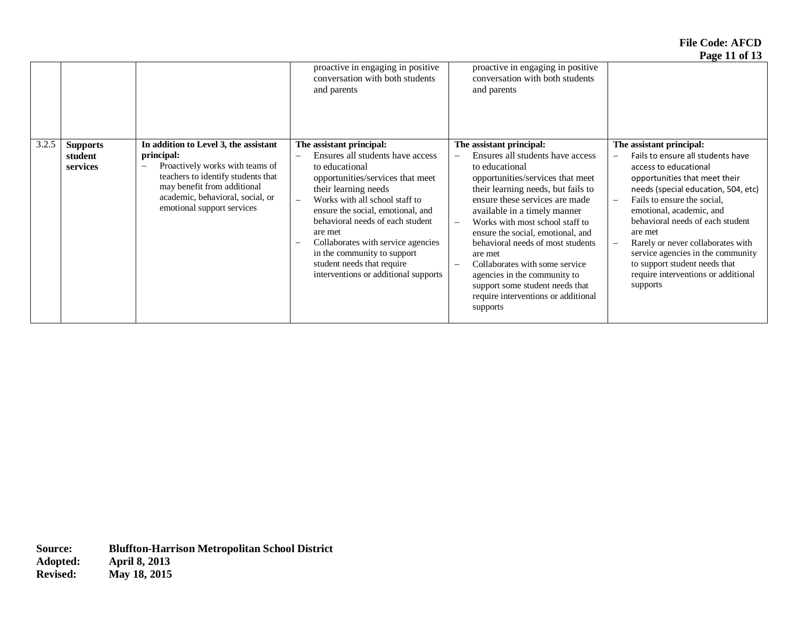**File Code: AFCD Page 11 of 13** 

|       |                                        |                                                                                                                                                                                                                                                           |                                                                                                                                                                                                                                                                                                                                                                                                                         |                                                                                                                                                                                                                                                                                                                                                                                                                                                                                                            | 1 agus 11 bha 10                                                                                                                                                                                                                                                                                                                                                                                                                       |
|-------|----------------------------------------|-----------------------------------------------------------------------------------------------------------------------------------------------------------------------------------------------------------------------------------------------------------|-------------------------------------------------------------------------------------------------------------------------------------------------------------------------------------------------------------------------------------------------------------------------------------------------------------------------------------------------------------------------------------------------------------------------|------------------------------------------------------------------------------------------------------------------------------------------------------------------------------------------------------------------------------------------------------------------------------------------------------------------------------------------------------------------------------------------------------------------------------------------------------------------------------------------------------------|----------------------------------------------------------------------------------------------------------------------------------------------------------------------------------------------------------------------------------------------------------------------------------------------------------------------------------------------------------------------------------------------------------------------------------------|
|       |                                        |                                                                                                                                                                                                                                                           | proactive in engaging in positive<br>conversation with both students<br>and parents                                                                                                                                                                                                                                                                                                                                     | proactive in engaging in positive<br>conversation with both students<br>and parents                                                                                                                                                                                                                                                                                                                                                                                                                        |                                                                                                                                                                                                                                                                                                                                                                                                                                        |
| 3.2.5 | <b>Supports</b><br>student<br>services | In addition to Level 3, the assistant<br>principal:<br>Proactively works with teams of<br>$\overline{\phantom{a}}$<br>teachers to identify students that<br>may benefit from additional<br>academic, behavioral, social, or<br>emotional support services | The assistant principal:<br>Ensures all students have access<br>to educational<br>opportunities/services that meet<br>their learning needs<br>Works with all school staff to<br>$\equiv$<br>ensure the social, emotional, and<br>behavioral needs of each student<br>are met<br>Collaborates with service agencies<br>in the community to support<br>student needs that require<br>interventions or additional supports | The assistant principal:<br>Ensures all students have access<br>to educational<br>opportunities/services that meet<br>their learning needs, but fails to<br>ensure these services are made<br>available in a timely manner<br>Works with most school staff to<br>ensure the social, emotional, and<br>behavioral needs of most students<br>are met<br>Collaborates with some service<br>agencies in the community to<br>support some student needs that<br>require interventions or additional<br>supports | The assistant principal:<br>Fails to ensure all students have<br>access to educational<br>opportunities that meet their<br>needs (special education, 504, etc)<br>Fails to ensure the social.<br>emotional, academic, and<br>behavioral needs of each student<br>are met<br>Rarely or never collaborates with<br>service agencies in the community<br>to support student needs that<br>require interventions or additional<br>supports |
|       |                                        |                                                                                                                                                                                                                                                           |                                                                                                                                                                                                                                                                                                                                                                                                                         |                                                                                                                                                                                                                                                                                                                                                                                                                                                                                                            |                                                                                                                                                                                                                                                                                                                                                                                                                                        |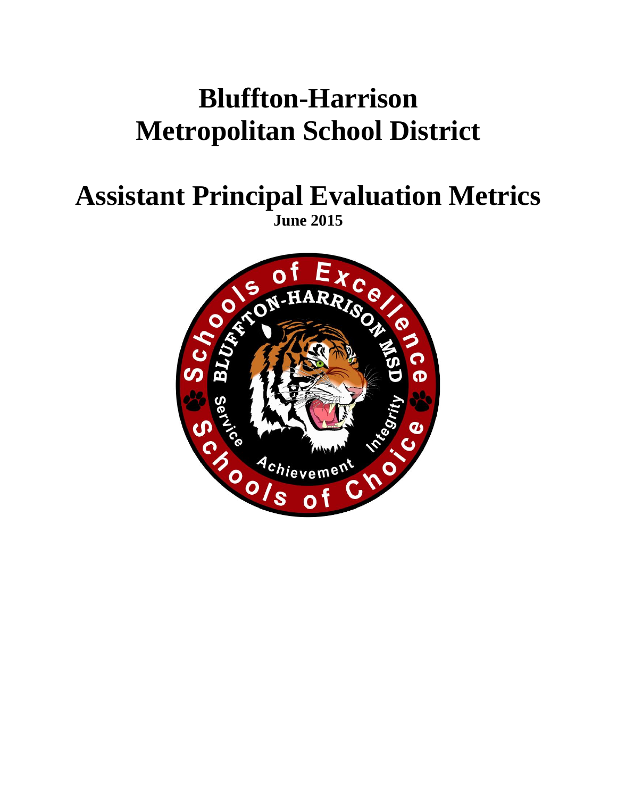# **Bluffton-Harrison Metropolitan School District**

## **Assistant Principal Evaluation Metrics June 2015**

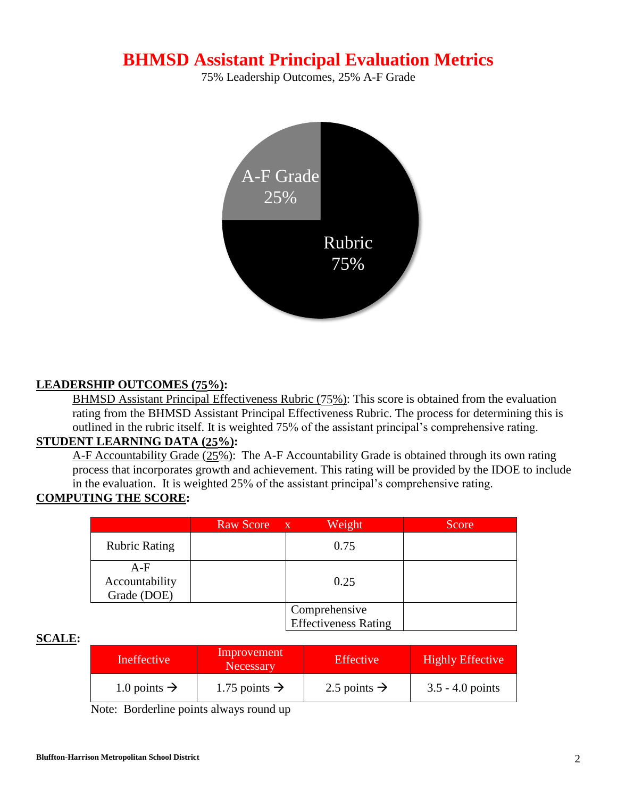## **BHMSD Assistant Principal Evaluation Metrics**

75% Leadership Outcomes, 25% A-F Grade



### **LEADERSHIP OUTCOMES (75%):**

BHMSD Assistant Principal Effectiveness Rubric (75%): This score is obtained from the evaluation rating from the BHMSD Assistant Principal Effectiveness Rubric. The process for determining this is outlined in the rubric itself. It is weighted 75% of the assistant principal's comprehensive rating.

### **STUDENT LEARNING DATA (25%):**

A-F Accountability Grade (25%): The A-F Accountability Grade is obtained through its own rating process that incorporates growth and achievement. This rating will be provided by the IDOE to include in the evaluation. It is weighted 25% of the assistant principal's comprehensive rating.

### **COMPUTING THE SCORE:**

|                                        | <b>Raw Score</b> | Weight<br>$\mathbf{X}$                       | Score |
|----------------------------------------|------------------|----------------------------------------------|-------|
| <b>Rubric Rating</b>                   |                  | 0.75                                         |       |
| $A-F$<br>Accountability<br>Grade (DOE) |                  | 0.25                                         |       |
|                                        |                  | Comprehensive<br><b>Effectiveness Rating</b> |       |

#### **SCALE:**

| Ineffective              | Improvement<br><b>Necessary</b> | <b>Effective</b>         | <b>Highly Effective</b> |
|--------------------------|---------------------------------|--------------------------|-------------------------|
| 1.0 points $\rightarrow$ | 1.75 points $\rightarrow$       | 2.5 points $\rightarrow$ | $3.5 - 4.0$ points      |

Note: Borderline points always round up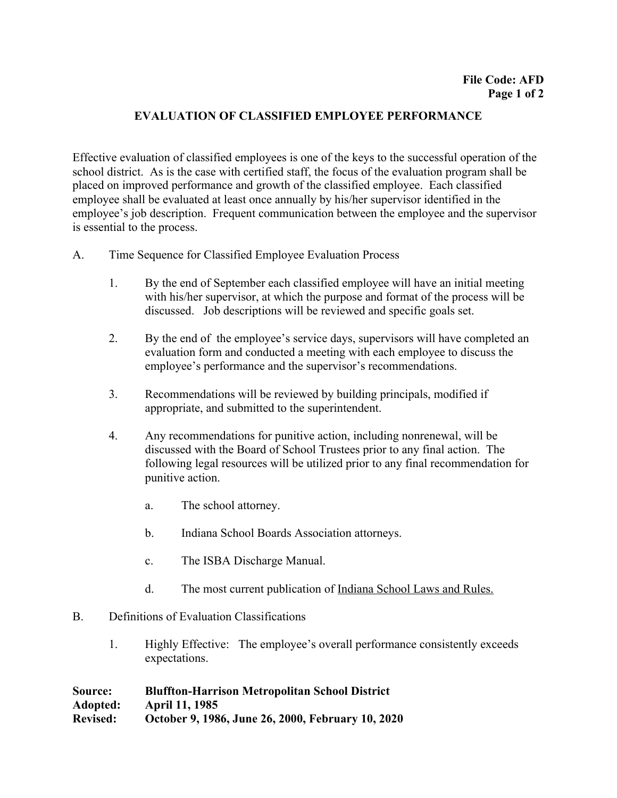### **EVALUATION OF CLASSIFIED EMPLOYEE PERFORMANCE**

Effective evaluation of classified employees is one of the keys to the successful operation of the school district. As is the case with certified staff, the focus of the evaluation program shall be placed on improved performance and growth of the classified employee. Each classified employee shall be evaluated at least once annually by his/her supervisor identified in the employee's job description. Frequent communication between the employee and the supervisor is essential to the process.

- A. Time Sequence for Classified Employee Evaluation Process
	- 1. By the end of September each classified employee will have an initial meeting with his/her supervisor, at which the purpose and format of the process will be discussed. Job descriptions will be reviewed and specific goals set.
	- 2. By the end of the employee's service days, supervisors will have completed an evaluation form and conducted a meeting with each employee to discuss the employee's performance and the supervisor's recommendations.
	- 3. Recommendations will be reviewed by building principals, modified if appropriate, and submitted to the superintendent.
	- 4. Any recommendations for punitive action, including nonrenewal, will be discussed with the Board of School Trustees prior to any final action. The following legal resources will be utilized prior to any final recommendation for punitive action.
		- a. The school attorney.
		- b. Indiana School Boards Association attorneys.
		- c. The ISBA Discharge Manual.
		- d. The most current publication of Indiana School Laws and Rules.
- B. Definitions of Evaluation Classifications
	- 1. Highly Effective: The employee's overall performance consistently exceeds expectations.

**Source: Bluffton-Harrison Metropolitan School District Adopted: April 11, 1985 Revised: October 9, 1986, June 26, 2000, February 10, 2020**